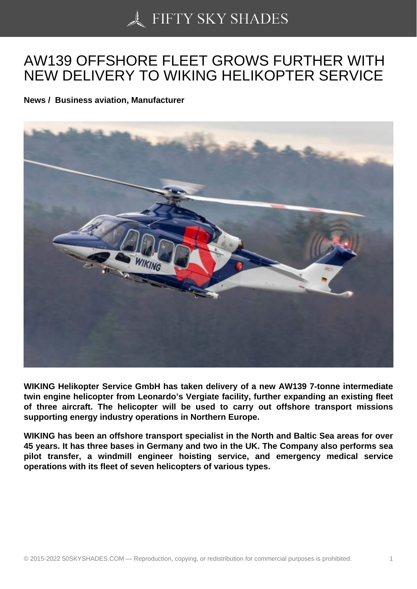## [AW139 OFFSHORE F](https://50skyshades.com)LEET GROWS FURTHER WITH NEW DELIVERY TO WIKING HELIKOPTER SERVICE

News / Business aviation, Manufacturer

WIKING Helikopter Service GmbH has taken delivery of a new AW139 7-tonne intermediate twin engine helicopter from Leonardo's Vergiate facility, further expanding an existing fleet of three aircraft. The helicopter will be used to carry out offshore transport missions supporting energy industry operations in Northern Europe.

WIKING has been an offshore transport specialist in the North and Baltic Sea areas for over 45 years. It has three bases in Germany and two in the UK. The Company also performs sea pilot transfer, a windmill engineer hoisting service, and emergency medical service operations with its fleet of seven helicopters of various types.